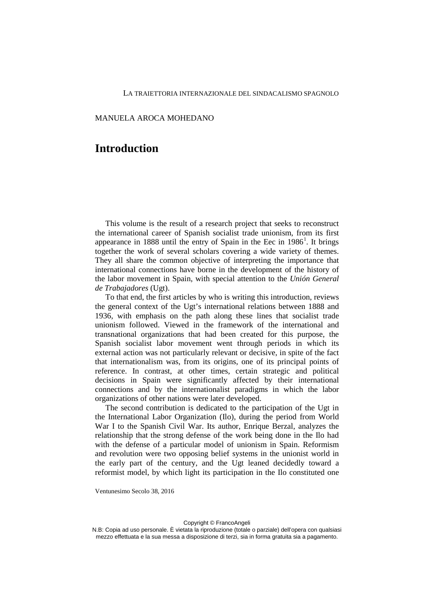## MANUELA AROCA MOHEDANO

## **Introduction**

This volume is the result of a research project that seeks to reconstruct the international career of Spanish socialist trade unionism, from its first appearance in [1](#page-2-0)888 until the entry of Spain in the Eec in  $1986<sup>1</sup>$ . It brings together the work of several scholars covering a wide variety of themes. They all share the common objective of interpreting the importance that international connections have borne in the development of the history of the labor movement in Spain, with special attention to the *Unión General de Trabajadores* (Ugt).

To that end, the first articles by who is writing this introduction, reviews the general context of the Ugt's international relations between 1888 and 1936, with emphasis on the path along these lines that socialist trade unionism followed. Viewed in the framework of the international and transnational organizations that had been created for this purpose, the Spanish socialist labor movement went through periods in which its external action was not particularly relevant or decisive, in spite of the fact that internationalism was, from its origins, one of its principal points of reference. In contrast, at other times, certain strategic and political decisions in Spain were significantly affected by their international connections and by the internationalist paradigms in which the labor organizations of other nations were later developed.

The second contribution is dedicated to the participation of the Ugt in the International Labor Organization (Ilo), during the period from World War I to the Spanish Civil War. Its author, Enrique Berzal, analyzes the relationship that the strong defense of the work being done in the Ilo had with the defense of a particular model of unionism in Spain. Reformism and revolution were two opposing belief systems in the unionist world in the early part of the century, and the Ugt leaned decidedly toward a reformist model, by which light its participation in the Ilo constituted one

Ventunesimo Secolo 38, 2016

Copyright © FrancoAngeli

N.B: Copia ad uso personale. È vietata la riproduzione (totale o parziale) dell'opera con qualsiasi mezzo effettuata e la sua messa a disposizione di terzi, sia in forma gratuita sia a pagamento.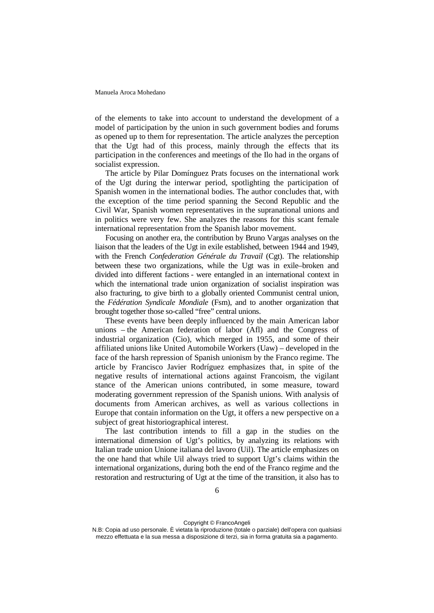of the elements to take into account to understand the development of a model of participation by the union in such government bodies and forums as opened up to them for representation. The article analyzes the perception that the Ugt had of this process, mainly through the effects that its participation in the conferences and meetings of the Ilo had in the organs of socialist expression.

The article by Pilar Domínguez Prats focuses on the international work of the Ugt during the interwar period, spotlighting the participation of Spanish women in the international bodies. The author concludes that, with the exception of the time period spanning the Second Republic and the Civil War, Spanish women representatives in the supranational unions and in politics were very few. She analyzes the reasons for this scant female international representation from the Spanish labor movement.

Focusing on another era, the contribution by Bruno Vargas analyses on the liaison that the leaders of the Ugt in exile established, between 1944 and 1949, with the French *Confederation Générale du Travail* (Cgt). The relationship between these two organizations, while the Ugt was in exile–broken and divided into different factions - were entangled in an international context in which the international trade union organization of socialist inspiration was also fracturing, to give birth to a globally oriented Communist central union, the *Fédération Syndicale Mondiale* (Fsm), and to another organization that brought together those so-called "free" central unions.

These events have been deeply influenced by the main American labor unions – the American federation of labor (Afl) and the Congress of industrial organization (Cio), which merged in 1955, and some of their affiliated unions like United Automobile Workers (Uaw) – developed in the face of the harsh repression of Spanish unionism by the Franco regime. The article by Francisco Javier Rodríguez emphasizes that, in spite of the negative results of international actions against Francoism, the vigilant stance of the American unions contributed, in some measure, toward moderating government repression of the Spanish unions. With analysis of documents from American archives, as well as various collections in Europe that contain information on the Ugt, it offers a new perspective on a subject of great historiographical interest.

The last contribution intends to fill a gap in the studies on the international dimension of Ugt's politics, by analyzing its relations with Italian trade union Unione italiana del lavoro (Uil). The article emphasizes on the one hand that while Uil always tried to support Ugt's claims within the international organizations, during both the end of the Franco regime and the restoration and restructuring of Ugt at the time of the transition, it also has to

N.B: Copia ad uso personale. È vietata la riproduzione (totale o parziale) dell'opera con qualsiasi mezzo effettuata e la sua messa a disposizione di terzi, sia in forma gratuita sia a pagamento.